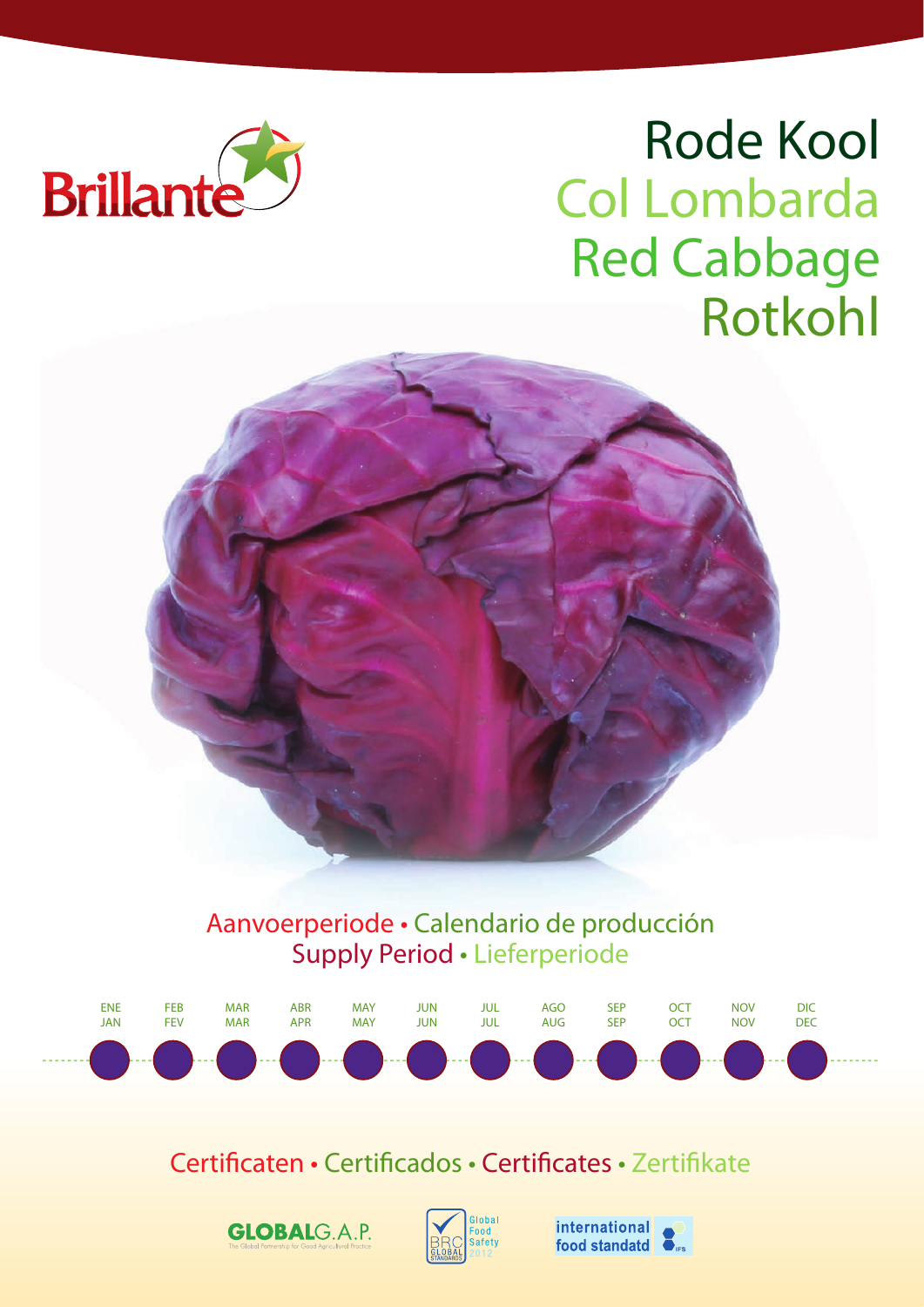

# Rode Kool Col Lombarda Red Cabbage Rotkohl





Certificaten • Certificados • Certificates • Zertifikate